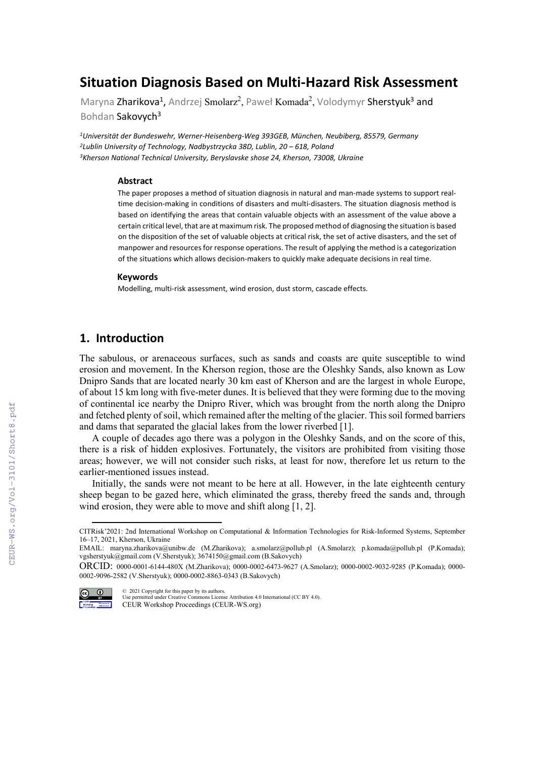# **Situation Diagnosis Based on Multi-Hazard Risk Assessment**

Maryna Zharikova<sup>1</sup>, Andrzej Smolarz<sup>2</sup>, Paweł Komada<sup>2</sup>, Volodymyr Sherstyuk<sup>3</sup> and Bohdan Sakovych<sup>3</sup>

*1Universität der Bundeswehr, Werner-Heisenberg-Weg 393GEB, München, Neubiberg, 85579, Germany 2Lublin University of Technology, Nadbystrzycka 38D, Lublin, 20 – 618, Poland 3Kherson National Technical University, Beryslavske shose 24, Kherson, 73008, Ukraine* 

#### **Abstract**

The paper proposes a method of situation diagnosis in natural and man-made systems to support realtime decision-making in conditions of disasters and multi-disasters. The situation diagnosis method is based on identifying the areas that contain valuable objects with an assessment of the value above a certain critical level, that are at maximum risk. The proposed method of diagnosing the situation is based on the disposition of the set of valuable objects at critical risk, the set of active disasters, and the set of manpower and resources for response operations. The result of applying the method is a categorization of the situations which allows decision-makers to quickly make adequate decisions in real time.

#### **Keywords[1](#page-0-0)**

Modelling, multi-risk assessment, wind erosion, dust storm, cascade effects.

### **1. Introduction**

The sabulous, or arenaceous surfaces, such as sands and coasts are quite susceptible to wind erosion and movement. In the Kherson region, those are the Oleshky Sands, also known as Low Dnipro Sands that are located nearly 30 km east of Kherson and are the largest in whole Europe, of about 15 km long with five-meter dunes. It is believed that they were forming due to the moving of continental ice nearby the Dnipro River, which was brought from the north along the Dnipro and fetched plenty of soil, which remained after the melting of the glacier. This soil formed barriers and dams that separated the glacial lakes from the lower riverbed [1].

A couple of decades ago there was a polygon in the Oleshky Sands, and on the score of this, there is a risk of hidden explosives. Fortunately, the visitors are prohibited from visiting those areas; however, we will not consider such risks, at least for now, therefore let us return to the earlier-mentioned issues instead.

Initially, the sands were not meant to be here at all. However, in the late eighteenth century sheep began to be gazed here, which eliminated the grass, thereby freed the sands and, through wind erosion, they were able to move and shift along [1, 2].

ORCID: 0000-0001-6144-480X (M.Zharikova); 0000-0002-6473-9627 (A.Smolarz); 0000-0002-9032-9285 (P.Komada); 0000- 0002-9096-2582 (V.Sherstyuk); 0000-0002-8863-0343 (B.Sakovych)



© 2021 Copyright for this paper by its authors. Use permitted under Creative Commons License Attribution 4.0 International (CC BY 4.0). CEUR Workshop Proceedings (CEUR-WS.org)

<span id="page-0-0"></span>CITRisk'2021: 2nd International Workshop on Computational & Information Technologies for Risk-Informed Systems, September 16–17, 2021, Kherson, Ukraine

EMAIL: maryna.zharikova@unibw.de (M.Zharikova); a.smolarz@pollub.pl (A.Smolarz); p.komada@pollub.pl (P.Komada); vgsherstyuk@gmail.com (V.Sherstyuk); 3674150@gmail.com (B.Sakovych)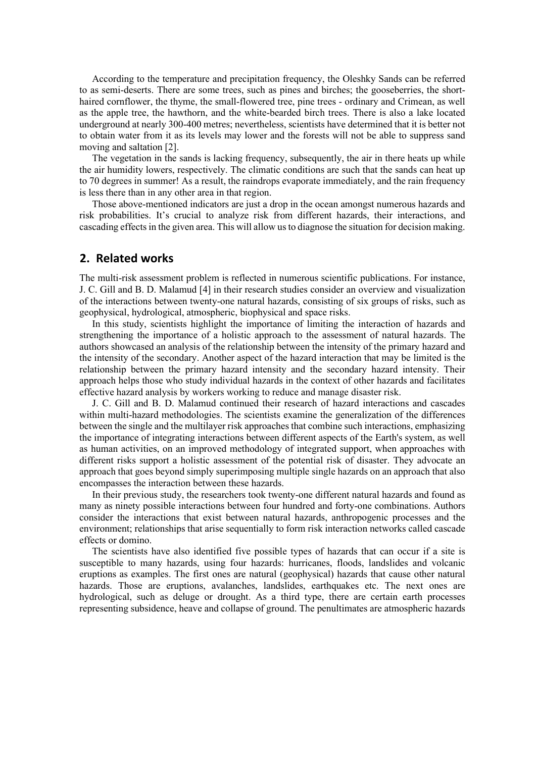According to the temperature and precipitation frequency, the Oleshky Sands can be referred to as semi-deserts. There are some trees, such as pines and birches; the gooseberries, the shorthaired cornflower, the thyme, the small-flowered tree, pine trees - ordinary and Crimean, as well as the apple tree, the hawthorn, and the white-bearded birch trees. There is also a lake located underground at nearly 300-400 metres; nevertheless, scientists have determined that it is better not to obtain water from it as its levels may lower and the forests will not be able to suppress sand moving and saltation [2].

The vegetation in the sands is lacking frequency, subsequently, the air in there heats up while the air humidity lowers, respectively. The climatic conditions are such that the sands can heat up to 70 degrees in summer! As a result, the raindrops evaporate immediately, and the rain frequency is less there than in any other area in that region.

Those above-mentioned indicators are just a drop in the ocean amongst numerous hazards and risk probabilities. It's crucial to analyze risk from different hazards, their interactions, and cascading effects in the given area. This will allow us to diagnose the situation for decision making.

#### **2. Related works**

The multi-risk assessment problem is reflected in numerous scientific publications. For instance, J. C. Gill and B. D. Malamud [4] in their research studies consider an overview and visualization of the interactions between twenty-one natural hazards, consisting of six groups of risks, such as geophysical, hydrological, atmospheric, biophysical and space risks.

In this study, scientists highlight the importance of limiting the interaction of hazards and strengthening the importance of a holistic approach to the assessment of natural hazards. The authors showcased an analysis of the relationship between the intensity of the primary hazard and the intensity of the secondary. Another aspect of the hazard interaction that may be limited is the relationship between the primary hazard intensity and the secondary hazard intensity. Their approach helps those who study individual hazards in the context of other hazards and facilitates effective hazard analysis by workers working to reduce and manage disaster risk.

J. C. Gill and B. D. Malamud continued their research of hazard interactions and cascades within multi-hazard methodologies. The scientists examine the generalization of the differences between the single and the multilayer risk approaches that combine such interactions, emphasizing the importance of integrating interactions between different aspects of the Earth's system, as well as human activities, on an improved methodology of integrated support, when approaches with different risks support a holistic assessment of the potential risk of disaster. They advocate an approach that goes beyond simply superimposing multiple single hazards on an approach that also encompasses the interaction between these hazards.

In their previous study, the researchers took twenty-one different natural hazards and found as many as ninety possible interactions between four hundred and forty-one combinations. Authors consider the interactions that exist between natural hazards, anthropogenic processes and the environment; relationships that arise sequentially to form risk interaction networks called cascade effects or domino.

The scientists have also identified five possible types of hazards that can occur if a site is susceptible to many hazards, using four hazards: hurricanes, floods, landslides and volcanic eruptions as examples. The first ones are natural (geophysical) hazards that cause other natural hazards. Those are eruptions, avalanches, landslides, earthquakes etc. The next ones are hydrological, such as deluge or drought. As a third type, there are certain earth processes representing subsidence, heave and collapse of ground. The penultimates are atmospheric hazards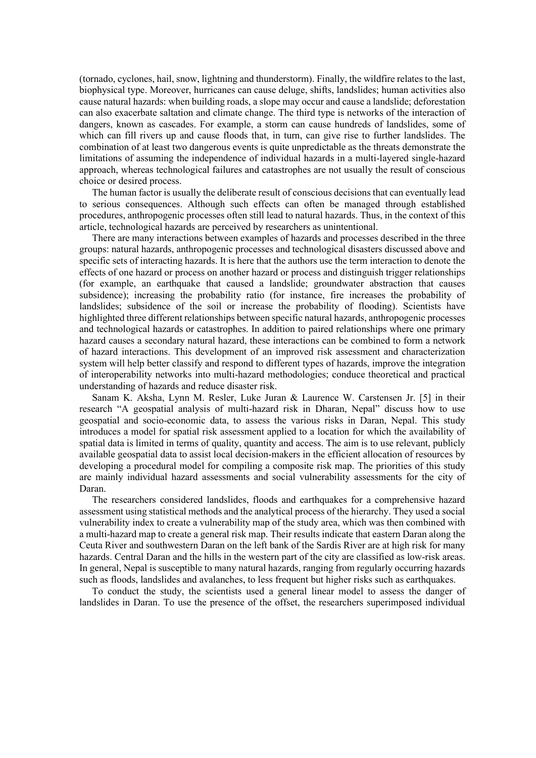(tornado, cyclones, hail, snow, lightning and thunderstorm). Finally, the wildfire relates to the last, biophysical type. Moreover, hurricanes can cause deluge, shifts, landslides; human activities also cause natural hazards: when building roads, a slope may occur and cause a landslide; deforestation can also exacerbate saltation and climate change. The third type is networks of the interaction of dangers, known as cascades. For example, a storm can cause hundreds of landslides, some of which can fill rivers up and cause floods that, in turn, can give rise to further landslides. The combination of at least two dangerous events is quite unpredictable as the threats demonstrate the limitations of assuming the independence of individual hazards in a multi-layered single-hazard approach, whereas technological failures and catastrophes are not usually the result of conscious choice or desired process.

The human factor is usually the deliberate result of conscious decisions that can eventually lead to serious consequences. Although such effects can often be managed through established procedures, anthropogenic processes often still lead to natural hazards. Thus, in the context of this article, technological hazards are perceived by researchers as unintentional.

There are many interactions between examples of hazards and processes described in the three groups: natural hazards, anthropogenic processes and technological disasters discussed above and specific sets of interacting hazards. It is here that the authors use the term interaction to denote the effects of one hazard or process on another hazard or process and distinguish trigger relationships (for example, an earthquake that caused a landslide; groundwater abstraction that causes subsidence); increasing the probability ratio (for instance, fire increases the probability of landslides; subsidence of the soil or increase the probability of flooding). Scientists have highlighted three different relationships between specific natural hazards, anthropogenic processes and technological hazards or catastrophes. In addition to paired relationships where one primary hazard causes a secondary natural hazard, these interactions can be combined to form a network of hazard interactions. This development of an improved risk assessment and characterization system will help better classify and respond to different types of hazards, improve the integration of interoperability networks into multi-hazard methodologies; conduce theoretical and practical understanding of hazards and reduce disaster risk.

Sanam K. Aksha, Lynn M. Resler, Luke Juran & Laurence W. Carstensen Jr. [5] in their research "A geospatial analysis of multi-hazard risk in Dharan, Nepal" discuss how to use geospatial and socio-economic data, to assess the various risks in Daran, Nepal. This study introduces a model for spatial risk assessment applied to a location for which the availability of spatial data is limited in terms of quality, quantity and access. The aim is to use relevant, publicly available geospatial data to assist local decision-makers in the efficient allocation of resources by developing a procedural model for compiling a composite risk map. The priorities of this study are mainly individual hazard assessments and social vulnerability assessments for the city of Daran.

The researchers considered landslides, floods and earthquakes for a comprehensive hazard assessment using statistical methods and the analytical process of the hierarchy. They used a social vulnerability index to create a vulnerability map of the study area, which was then combined with a multi-hazard map to create a general risk map. Their results indicate that eastern Daran along the Ceuta River and southwestern Daran on the left bank of the Sardis River are at high risk for many hazards. Central Daran and the hills in the western part of the city are classified as low-risk areas. In general, Nepal is susceptible to many natural hazards, ranging from regularly occurring hazards such as floods, landslides and avalanches, to less frequent but higher risks such as earthquakes.

To conduct the study, the scientists used a general linear model to assess the danger of landslides in Daran. To use the presence of the offset, the researchers superimposed individual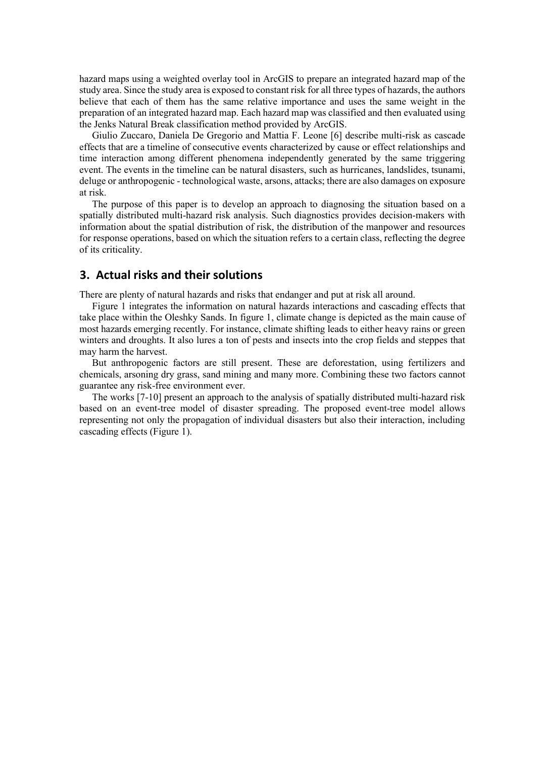hazard maps using a weighted overlay tool in ArcGIS to prepare an integrated hazard map of the study area. Since the study area is exposed to constant risk for all three types of hazards, the authors believe that each of them has the same relative importance and uses the same weight in the preparation of an integrated hazard map. Each hazard map was classified and then evaluated using the Jenks Natural Break classification method provided by ArcGIS.

Giulio Zuccaro, Daniela De Gregorio and Mattia F. Leone [6] describe multi-risk as cascade effects that are a timeline of consecutive events characterized by cause or effect relationships and time interaction among different phenomena independently generated by the same triggering event. The events in the timeline can be natural disasters, such as hurricanes, landslides, tsunami, deluge or anthropogenic - technological waste, arsons, attacks; there are also damages on exposure at risk.

The purpose of this paper is to develop an approach to diagnosing the situation based on a spatially distributed multi-hazard risk analysis. Such diagnostics provides decision-makers with information about the spatial distribution of risk, the distribution of the manpower and resources for response operations, based on which the situation refers to a certain class, reflecting the degree of its criticality.

# **3. Actual risks and their solutions**

There are plenty of natural hazards and risks that endanger and put at risk all around.

Figure 1 integrates the information on natural hazards interactions and cascading effects that take place within the Oleshky Sands. In figure 1, climate change is depicted as the main cause of most hazards emerging recently. For instance, climate shifting leads to either heavy rains or green winters and droughts. It also lures a ton of pests and insects into the crop fields and steppes that may harm the harvest.

But anthropogenic factors are still present. These are deforestation, using fertilizers and chemicals, arsoning dry grass, sand mining and many more. Combining these two factors cannot guarantee any risk-free environment ever.

The works [7-10] present an approach to the analysis of spatially distributed multi-hazard risk based on an event-tree model of disaster spreading. The proposed event-tree model allows representing not only the propagation of individual disasters but also their interaction, including cascading effects (Figure 1).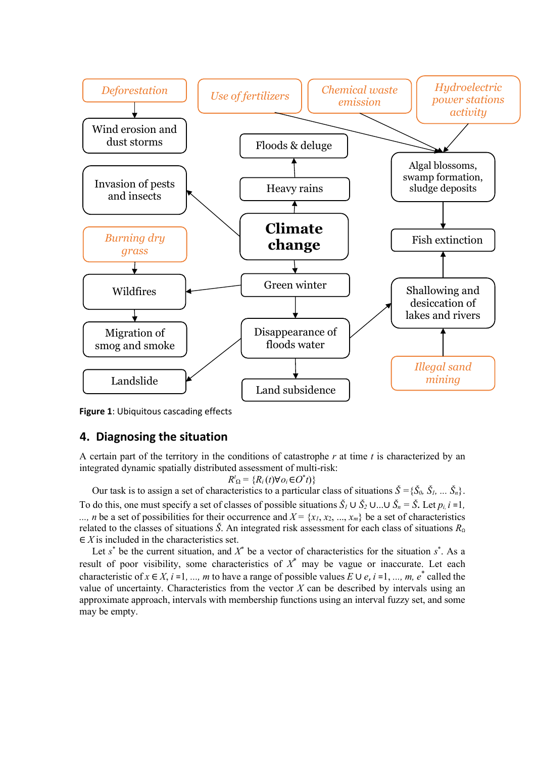

**Figure 1**: Ubiquitous cascading effects

### **4. Diagnosing the situation**

A certain part of the territory in the conditions of catastrophe *r* at time *t* is characterized by an integrated dynamic spatially distributed assessment of multi-risk:

$$
R^t_{\Omega} = \{R_i(t)\forall o_i \in O^*t)\}
$$

Our task is to assign a set of characteristics to a particular class of situations *Š =*{*Š0, Š1, ... Šn*}. To do this, one must specify a set of classes of possible situations  $\check{S}_l \cup \check{S}_2 \cup ... \cup \check{S}_n = \check{S}$ . Let  $p_i$ ,  $i = 1$ , ..., *n* be a set of possibilities for their occurrence and  $X = \{x_1, x_2, ..., x_m\}$  be a set of characteristics related to the classes of situations *Š*. An integrated risk assessment for each class of situations  $R_0$ ∈ *X* is included in the characteristics set.

Let  $s^*$  be the current situation, and  $X^*$  be a vector of characteristics for the situation  $s^*$ . As a result of poor visibility, some characteristics of *X*\* may be vague or inaccurate. Let each characteristic of  $x \in X$ ,  $i = 1, ..., m$  to have a range of possible values  $E \cup e$ ,  $i = 1, ..., m$ ,  $e^*$  called the value of uncertainty. Characteristics from the vector *X* can be described by intervals using an approximate approach, intervals with membership functions using an interval fuzzy set, and some may be empty.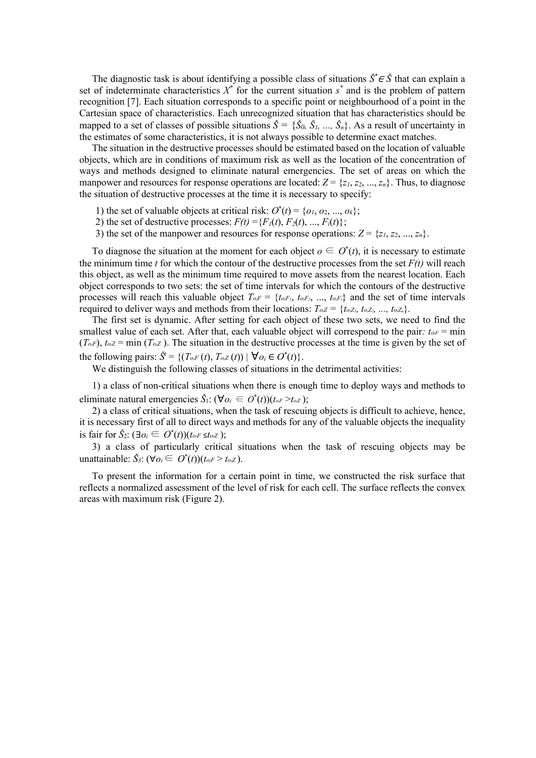The diagnostic task is about identifying a possible class of situations *Š\** <sup>∈</sup> *Š* that can explain a set of indeterminate characteristics  $X^*$  for the current situation  $s^*$  and is the problem of pattern recognition [7]. Each situation corresponds to a specific point or neighbourhood of a point in the Cartesian space of characteristics. Each unrecognized situation that has characteristics should be mapped to a set of classes of possible situations  $\check{S} = \{\check{S}_0, \check{S}_1, ..., \check{S}_n\}$ . As a result of uncertainty in the estimates of some characteristics, it is not always possible to determine exact matches.

The situation in the destructive processes should be estimated based on the location of valuable objects, which are in conditions of maximum risk as well as the location of the concentration of ways and methods designed to eliminate natural emergencies. The set of areas on which the manpower and resources for response operations are located:  $Z = \{z_1, z_2, ..., z_n\}$ . Thus, to diagnose the situation of destructive processes at the time it is necessary to specify:

- 1) the set of valuable objects at critical risk:  $O^*(t) = \{o_1, o_2, ..., o_k\}$ ;
- 2) the set of destructive processes:  $F(t) = {F_1(t), F_2(t), ..., F_i(t)}$ ;
- 3) the set of the manpower and resources for response operations:  $Z = \{z_1, z_2, ..., z_n\}$ .

To diagnose the situation at the moment for each object  $o \in O^*(t)$ , it is necessary to estimate the minimum time *t* for which the contour of the destructive processes from the set  $F(t)$  will reach this object, as well as the minimum time required to move assets from the nearest location. Each object corresponds to two sets: the set of time intervals for which the contours of the destructive processes will reach this valuable object  $T_{o,F} = \{t_{o,F_1}, t_{o,F_2}, ..., t_{o,F_i}\}$  and the set of time intervals required to deliver ways and methods from their locations:  $T_{oZ} = \{t_{oZ}, t_{oZ}, \ldots, t_{oZ_n}\}.$ 

The first set is dynamic. After setting for each object of these two sets, we need to find the smallest value of each set. After that, each valuable object will correspond to the pair:  $t_{0<sub>F</sub>} = \text{min}$  $(T<sub>oF</sub>)$ ,  $t<sub>oZ</sub> = min (T<sub>oZ</sub>)$ . The situation in the destructive processes at the time is given by the set of the following pairs:  $\check{S}^t = \{ (T_{o,F}(t), T_{o,Z}(t)) \mid \forall o_i \in O^*(t) \}.$ 

We distinguish the following classes of situations in the detrimental activities:

1) a class of non-critical situations when there is enough time to deploy ways and methods to eliminate natural emergencies  $\check{S}_1$ : ( $\forall o_i \in O^*(t)$ )( $t_{o,i} > t_{o,Z}$ );

2) a class of critical situations, when the task of rescuing objects is difficult to achieve, hence, it is necessary first of all to direct ways and methods for any of the valuable objects the inequality is fair for  $\check{S}_2$ : (∃*o<sub>i</sub>* ∈ *O*<sup>\*</sup>(*t*))(*to<sub>i</sub>F ≤<i>to<sub>i</sub>Z*);

3) a class of particularly critical situations when the task of rescuing objects may be unattainable: *Š3*: (∀*oi*∈ *O*\* (*t*))(*toiF* > *toiZ* ).

To present the information for a certain point in time, we constructed the risk surface that reflects a normalized assessment of the level of risk for each cell. The surface reflects the convex areas with maximum risk (Figure 2).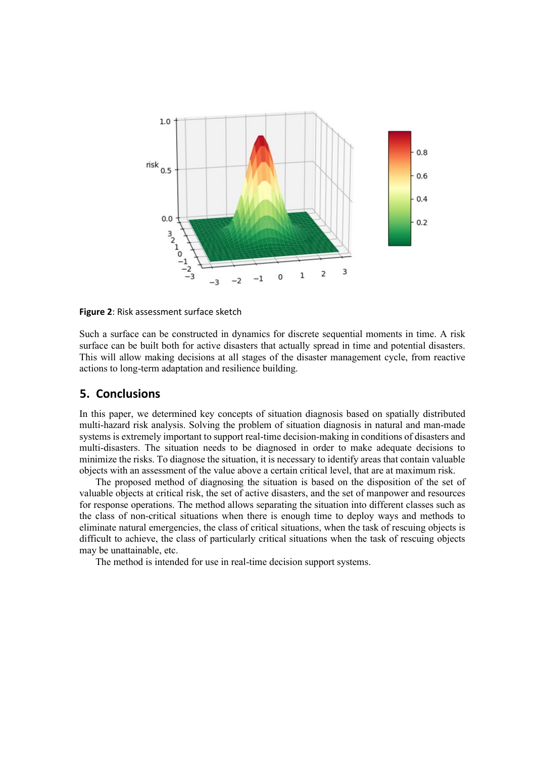

**Figure 2**: Risk assessment surface sketch

Such a surface can be constructed in dynamics for discrete sequential moments in time. A risk surface can be built both for active disasters that actually spread in time and potential disasters. This will allow making decisions at all stages of the disaster management cycle, from reactive actions to long-term adaptation and resilience building.

### **5. Conclusions**

In this paper, we determined key concepts of situation diagnosis based on spatially distributed multi-hazard risk analysis. Solving the problem of situation diagnosis in natural and man-made systems is extremely important to support real-time decision-making in conditions of disasters and multi-disasters. The situation needs to be diagnosed in order to make adequate decisions to minimize the risks. To diagnose the situation, it is necessary to identify areas that contain valuable objects with an assessment of the value above a certain critical level, that are at maximum risk.

The proposed method of diagnosing the situation is based on the disposition of the set of valuable objects at critical risk, the set of active disasters, and the set of manpower and resources for response operations. The method allows separating the situation into different classes such as the class of non-critical situations when there is enough time to deploy ways and methods to eliminate natural emergencies, the class of critical situations, when the task of rescuing objects is difficult to achieve, the class of particularly critical situations when the task of rescuing objects may be unattainable, etc.

The method is intended for use in real-time decision support systems.